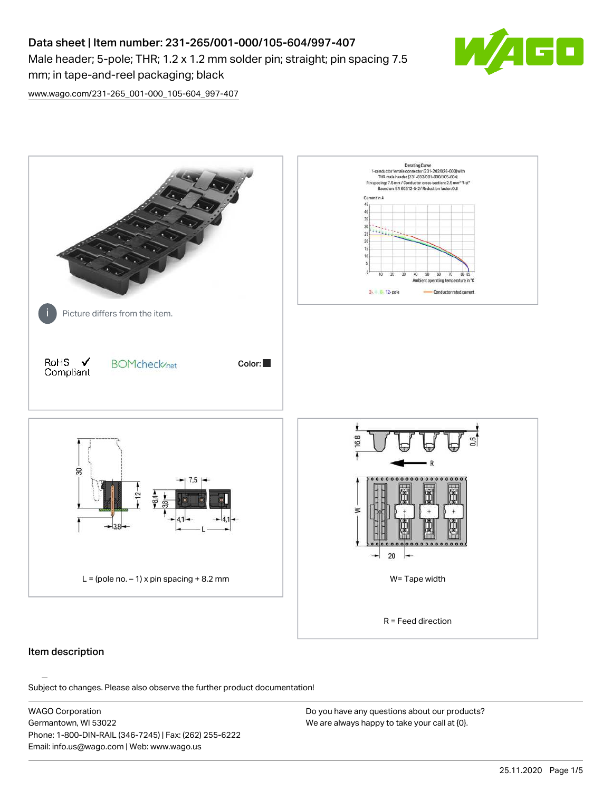# Data sheet | Item number: 231-265/001-000/105-604/997-407 Male header; 5-pole; THR; 1.2 x 1.2 mm solder pin; straight; pin spacing 7.5 mm; in tape-and-reel packaging; black



[www.wago.com/231-265\\_001-000\\_105-604\\_997-407](http://www.wago.com/231-265_001-000_105-604_997-407)



### Item description

Subject to changes. Please also observe the further product documentation!

WAGO Corporation Germantown, WI 53022 Phone: 1-800-DIN-RAIL (346-7245) | Fax: (262) 255-6222 Email: info.us@wago.com | Web: www.wago.us

Do you have any questions about our products? We are always happy to take your call at {0}.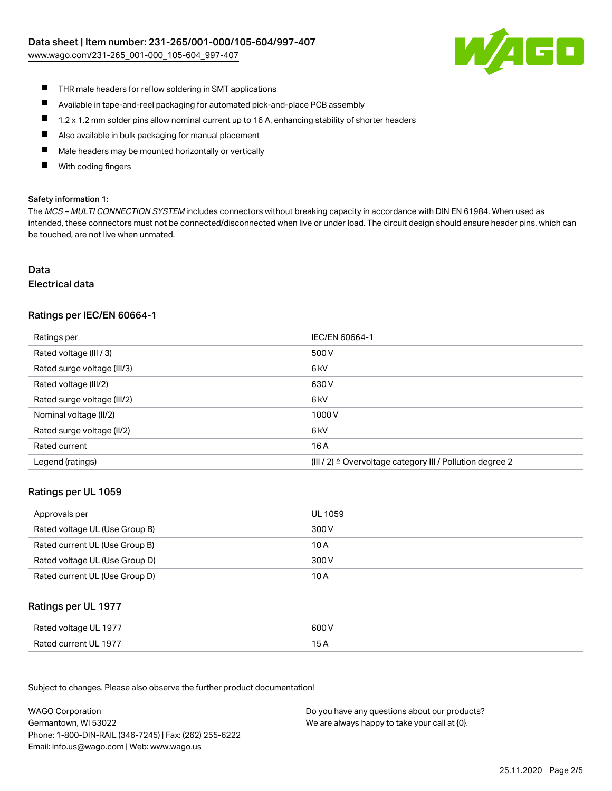[www.wago.com/231-265\\_001-000\\_105-604\\_997-407](http://www.wago.com/231-265_001-000_105-604_997-407)



- $\blacksquare$ THR male headers for reflow soldering in SMT applications
- $\blacksquare$ Available in tape-and-reel packaging for automated pick-and-place PCB assembly
- $\blacksquare$ 1.2 x 1.2 mm solder pins allow nominal current up to 16 A, enhancing stability of shorter headers
- $\blacksquare$ Also available in bulk packaging for manual placement
- П Male headers may be mounted horizontally or vertically
- With coding fingers П

#### Safety information 1:

The MCS - MULTI CONNECTION SYSTEM includes connectors without breaking capacity in accordance with DIN EN 61984. When used as intended, these connectors must not be connected/disconnected when live or under load. The circuit design should ensure header pins, which can be touched, are not live when unmated.

# Data

#### Electrical data

# Ratings per IEC/EN 60664-1

| Ratings per                 | IEC/EN 60664-1                                            |
|-----------------------------|-----------------------------------------------------------|
| Rated voltage (III / 3)     | 500 V                                                     |
| Rated surge voltage (III/3) | 6 <sub>k</sub> V                                          |
| Rated voltage (III/2)       | 630 V                                                     |
| Rated surge voltage (III/2) | 6 <sub>k</sub> V                                          |
| Nominal voltage (II/2)      | 1000V                                                     |
| Rated surge voltage (II/2)  | 6 kV                                                      |
| Rated current               | 16 A                                                      |
| Legend (ratings)            | (III / 2) ≙ Overvoltage category III / Pollution degree 2 |

### Ratings per UL 1059

| Approvals per                  | UL 1059 |
|--------------------------------|---------|
| Rated voltage UL (Use Group B) | 300 V   |
| Rated current UL (Use Group B) | 10 A    |
| Rated voltage UL (Use Group D) | 300 V   |
| Rated current UL (Use Group D) | 10 A    |

### Ratings per UL 1977

| Rated voltage UL 1977 | 600 V |
|-----------------------|-------|
| Rated current UL 1977 |       |

Subject to changes. Please also observe the further product documentation! Ratings per CSA

| <b>WAGO Corporation</b>                                | Do you have any questions about our products? |
|--------------------------------------------------------|-----------------------------------------------|
| Germantown, WI 53022                                   | We are always happy to take your call at {0}. |
| Phone: 1-800-DIN-RAIL (346-7245)   Fax: (262) 255-6222 |                                               |
| Email: info.us@wago.com   Web: www.wago.us             |                                               |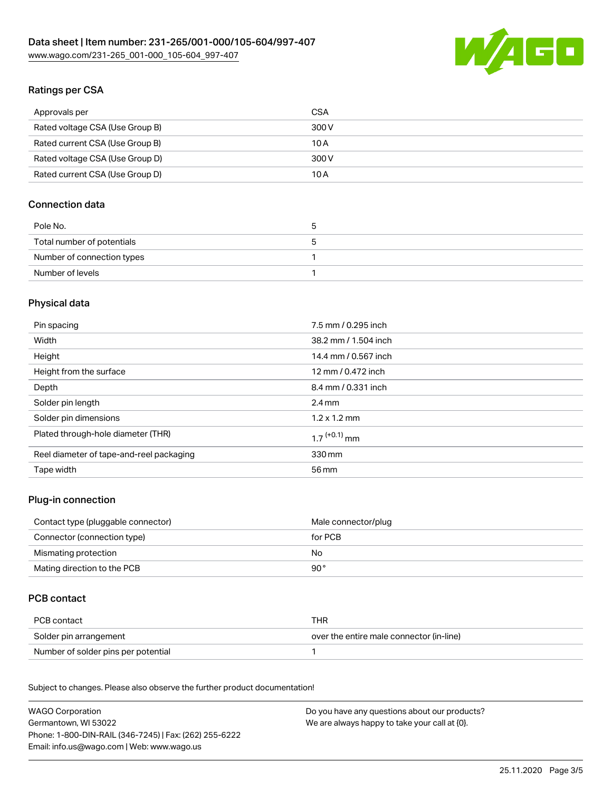

# Ratings per CSA

| Approvals per                   | CSA   |
|---------------------------------|-------|
| Rated voltage CSA (Use Group B) | 300 V |
| Rated current CSA (Use Group B) | 10 A  |
| Rated voltage CSA (Use Group D) | 300 V |
| Rated current CSA (Use Group D) | 10 A  |

# Connection data

| Pole No.                   | 5 |
|----------------------------|---|
| Total number of potentials | э |
| Number of connection types |   |
| Number of levels           |   |

# Physical data

| Pin spacing                              | 7.5 mm / 0.295 inch        |
|------------------------------------------|----------------------------|
| Width                                    | 38.2 mm / 1.504 inch       |
| Height                                   | 14.4 mm / 0.567 inch       |
| Height from the surface                  | 12 mm / 0.472 inch         |
| Depth                                    | 8.4 mm / 0.331 inch        |
| Solder pin length                        | $2.4 \text{ mm}$           |
| Solder pin dimensions                    | $1.2 \times 1.2$ mm        |
| Plated through-hole diameter (THR)       | $1.7$ <sup>(+0.1)</sup> mm |
| Reel diameter of tape-and-reel packaging | 330 mm                     |
| Tape width                               | 56 mm                      |

### Plug-in connection

| Contact type (pluggable connector) | Male connector/plug |
|------------------------------------|---------------------|
| Connector (connection type)        | for PCB             |
| Mismating protection               | No                  |
| Mating direction to the PCB        | 90 °                |

# PCB contact

| PCB contact                         | THR                                      |
|-------------------------------------|------------------------------------------|
| Solder pin arrangement              | over the entire male connector (in-line) |
| Number of solder pins per potential |                                          |

Subject to changes. Please also observe the further product documentation! Material Data

| <b>WAGO Corporation</b>                                | Do you have any questions about our products? |
|--------------------------------------------------------|-----------------------------------------------|
| Germantown, WI 53022                                   | We are always happy to take your call at {0}. |
| Phone: 1-800-DIN-RAIL (346-7245)   Fax: (262) 255-6222 |                                               |
| Email: info.us@wago.com   Web: www.wago.us             |                                               |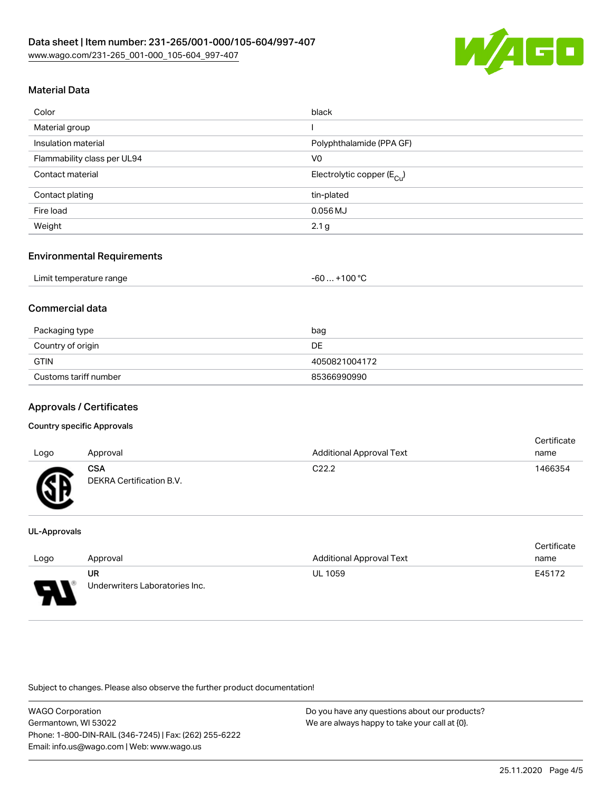

# Material Data

| Color                       | black                                 |
|-----------------------------|---------------------------------------|
| Material group              |                                       |
| Insulation material         | Polyphthalamide (PPA GF)              |
| Flammability class per UL94 | V <sub>0</sub>                        |
| Contact material            | Electrolytic copper $(E_{\text{Cl}})$ |
| Contact plating             | tin-plated                            |
| Fire load                   | $0.056$ MJ                            |
| Weight                      | 2.1 <sub>g</sub>                      |

### Environmental Requirements

### Commercial data

| Packaging type        | bag           |
|-----------------------|---------------|
| Country of origin     | DE            |
| <b>GTIN</b>           | 4050821004172 |
| Customs tariff number | 85366990990   |

# Approvals / Certificates

#### Country specific Approvals

| Logo | Approval                               | <b>Additional Approval Text</b> | <b>Certificate</b><br>name |
|------|----------------------------------------|---------------------------------|----------------------------|
| Гπ   | <b>CSA</b><br>DEKRA Certification B.V. | C <sub>22.2</sub>               | 1466354                    |

#### UL-Approvals

|      |                                |                                 | Certificate |
|------|--------------------------------|---------------------------------|-------------|
| Logo | Approval                       | <b>Additional Approval Text</b> | name        |
|      | UR                             | <b>UL 1059</b>                  | E45172      |
| L    | Underwriters Laboratories Inc. |                                 |             |

Subject to changes. Please also observe the further product documentation!

WAGO Corporation Germantown, WI 53022 Phone: 1-800-DIN-RAIL (346-7245) | Fax: (262) 255-6222 Email: info.us@wago.com | Web: www.wago.us

Do you have any questions about our products? We are always happy to take your call at {0}.

Certificate